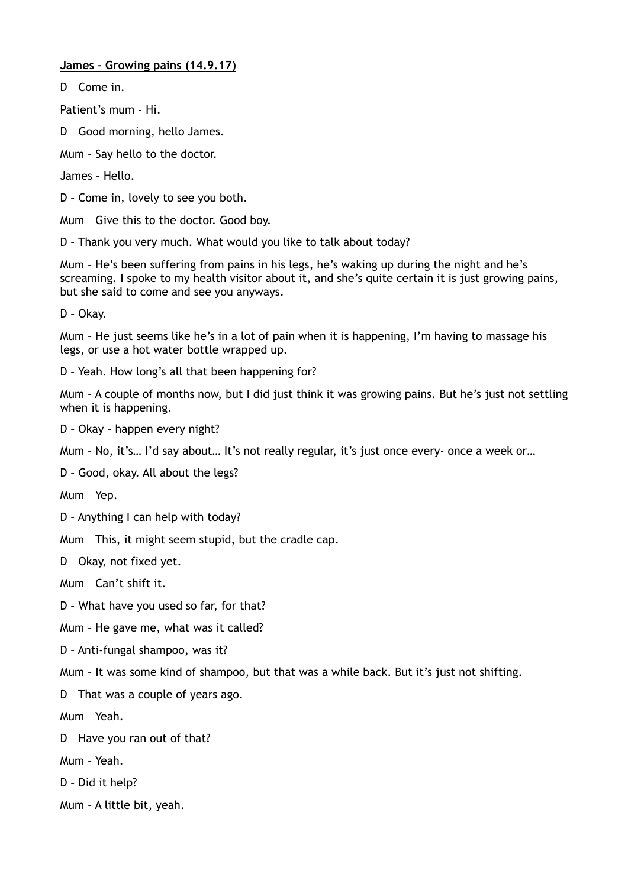## **James – Growing pains (14.9.17)**

D – Come in.

Patient's mum – Hi.

D – Good morning, hello James.

Mum – Say hello to the doctor.

James – Hello.

D – Come in, lovely to see you both.

Mum – Give this to the doctor. Good boy.

D – Thank you very much. What would you like to talk about today?

Mum – He's been suffering from pains in his legs, he's waking up during the night and he's screaming. I spoke to my health visitor about it, and she's quite certain it is just growing pains, but she said to come and see you anyways.

D – Okay.

Mum – He just seems like he's in a lot of pain when it is happening, I'm having to massage his legs, or use a hot water bottle wrapped up.

D – Yeah. How long's all that been happening for?

Mum – A couple of months now, but I did just think it was growing pains. But he's just not settling when it is happening.

D – Okay – happen every night?

Mum – No, it's… I'd say about… It's not really regular, it's just once every- once a week or…

D – Good, okay. All about the legs?

Mum – Yep.

D – Anything I can help with today?

Mum – This, it might seem stupid, but the cradle cap.

D – Okay, not fixed yet.

Mum – Can't shift it.

D – What have you used so far, for that?

Mum – He gave me, what was it called?

D – Anti-fungal shampoo, was it?

Mum – It was some kind of shampoo, but that was a while back. But it's just not shifting.

D – That was a couple of years ago.

Mum – Yeah.

D – Have you ran out of that?

Mum – Yeah.

D – Did it help?

Mum – A little bit, yeah.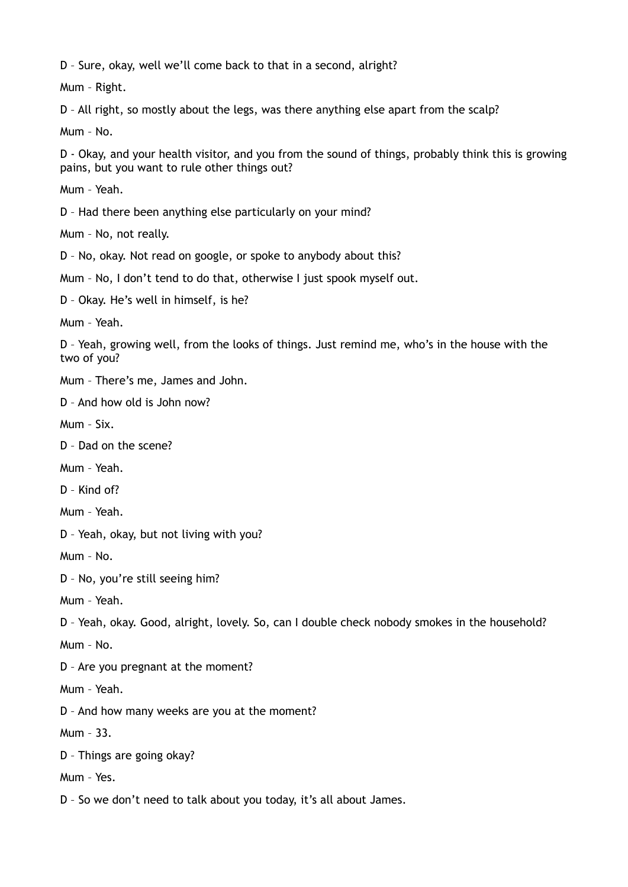D – Sure, okay, well we'll come back to that in a second, alright?

Mum – Right.

D – All right, so mostly about the legs, was there anything else apart from the scalp?

Mum – No.

D - Okay, and your health visitor, and you from the sound of things, probably think this is growing pains, but you want to rule other things out?

Mum – Yeah.

D – Had there been anything else particularly on your mind?

Mum – No, not really.

D – No, okay. Not read on google, or spoke to anybody about this?

Mum – No, I don't tend to do that, otherwise I just spook myself out.

D – Okay. He's well in himself, is he?

Mum – Yeah.

D – Yeah, growing well, from the looks of things. Just remind me, who's in the house with the two of you?

Mum – There's me, James and John.

D – And how old is John now?

Mum – Six.

D – Dad on the scene?

Mum – Yeah.

D – Kind of?

Mum – Yeah.

D – Yeah, okay, but not living with you?

Mum – No.

D – No, you're still seeing him?

Mum – Yeah.

D – Yeah, okay. Good, alright, lovely. So, can I double check nobody smokes in the household?

Mum – No.

D – Are you pregnant at the moment?

Mum – Yeah.

D – And how many weeks are you at the moment?

Mum – 33.

D – Things are going okay?

Mum – Yes.

D – So we don't need to talk about you today, it's all about James.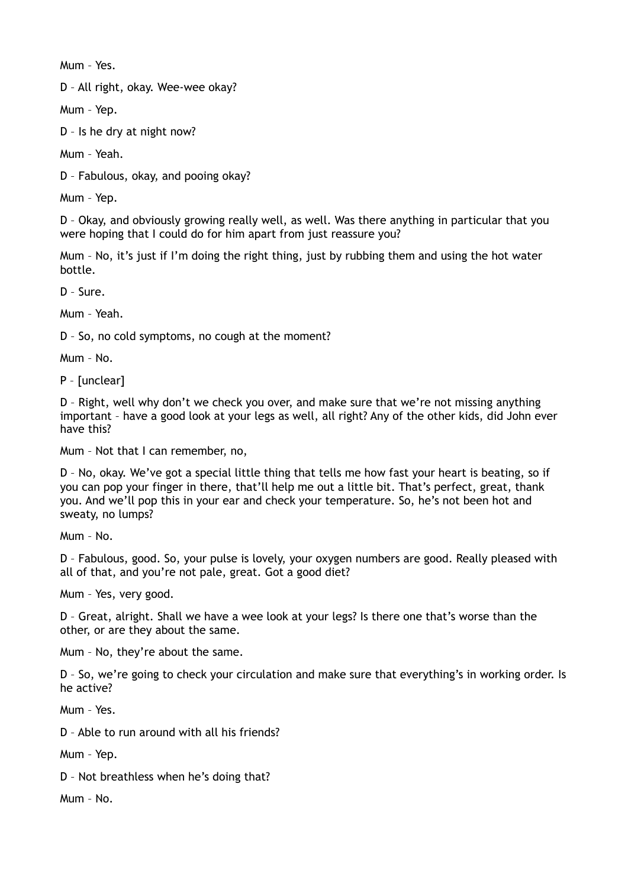Mum – Yes.

D – All right, okay. Wee-wee okay?

Mum – Yep.

D – Is he dry at night now?

Mum – Yeah.

D – Fabulous, okay, and pooing okay?

Mum – Yep.

D – Okay, and obviously growing really well, as well. Was there anything in particular that you were hoping that I could do for him apart from just reassure you?

Mum – No, it's just if I'm doing the right thing, just by rubbing them and using the hot water bottle.

D – Sure.

Mum – Yeah.

D – So, no cold symptoms, no cough at the moment?

Mum – No.

P – [unclear]

D – Right, well why don't we check you over, and make sure that we're not missing anything important – have a good look at your legs as well, all right? Any of the other kids, did John ever have this?

Mum – Not that I can remember, no,

D – No, okay. We've got a special little thing that tells me how fast your heart is beating, so if you can pop your finger in there, that'll help me out a little bit. That's perfect, great, thank you. And we'll pop this in your ear and check your temperature. So, he's not been hot and sweaty, no lumps?

Mum – No.

D – Fabulous, good. So, your pulse is lovely, your oxygen numbers are good. Really pleased with all of that, and you're not pale, great. Got a good diet?

Mum – Yes, very good.

D – Great, alright. Shall we have a wee look at your legs? Is there one that's worse than the other, or are they about the same.

Mum – No, they're about the same.

D – So, we're going to check your circulation and make sure that everything's in working order. Is he active?

Mum – Yes.

D – Able to run around with all his friends?

Mum – Yep.

D – Not breathless when he's doing that?

Mum – No.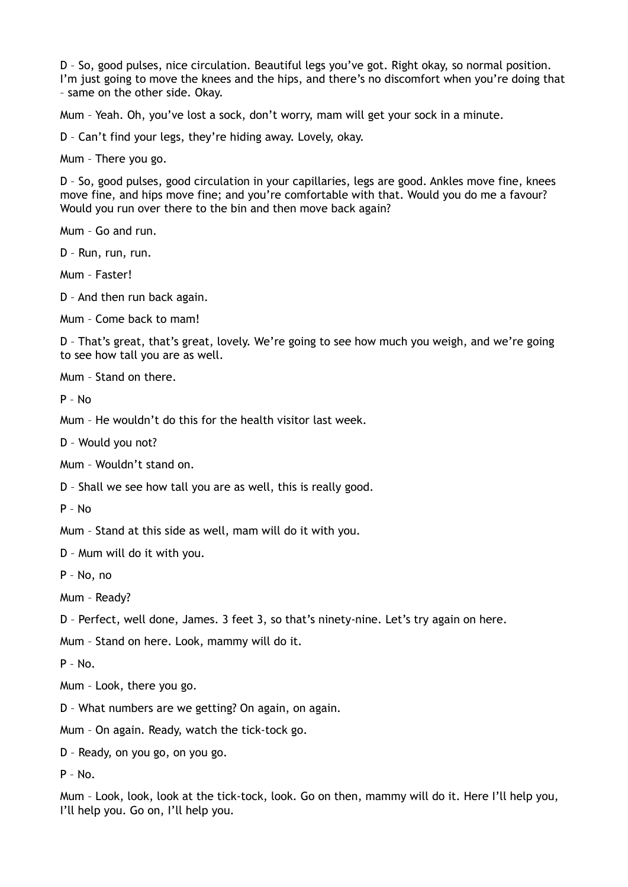D – So, good pulses, nice circulation. Beautiful legs you've got. Right okay, so normal position. I'm just going to move the knees and the hips, and there's no discomfort when you're doing that – same on the other side. Okay.

Mum – Yeah. Oh, you've lost a sock, don't worry, mam will get your sock in a minute.

D – Can't find your legs, they're hiding away. Lovely, okay.

Mum – There you go.

D – So, good pulses, good circulation in your capillaries, legs are good. Ankles move fine, knees move fine, and hips move fine; and you're comfortable with that. Would you do me a favour? Would you run over there to the bin and then move back again?

Mum – Go and run.

D – Run, run, run.

Mum – Faster!

D – And then run back again.

Mum – Come back to mam!

D – That's great, that's great, lovely. We're going to see how much you weigh, and we're going to see how tall you are as well.

Mum – Stand on there.

P – No

Mum – He wouldn't do this for the health visitor last week.

D – Would you not?

Mum – Wouldn't stand on.

D – Shall we see how tall you are as well, this is really good.

P – No

Mum – Stand at this side as well, mam will do it with you.

D – Mum will do it with you.

P – No, no

Mum – Ready?

D – Perfect, well done, James. 3 feet 3, so that's ninety-nine. Let's try again on here.

Mum – Stand on here. Look, mammy will do it.

 $P - No.$ 

Mum – Look, there you go.

D – What numbers are we getting? On again, on again.

Mum – On again. Ready, watch the tick-tock go.

D – Ready, on you go, on you go.

 $P - No.$ 

Mum – Look, look, look at the tick-tock, look. Go on then, mammy will do it. Here I'll help you, I'll help you. Go on, I'll help you.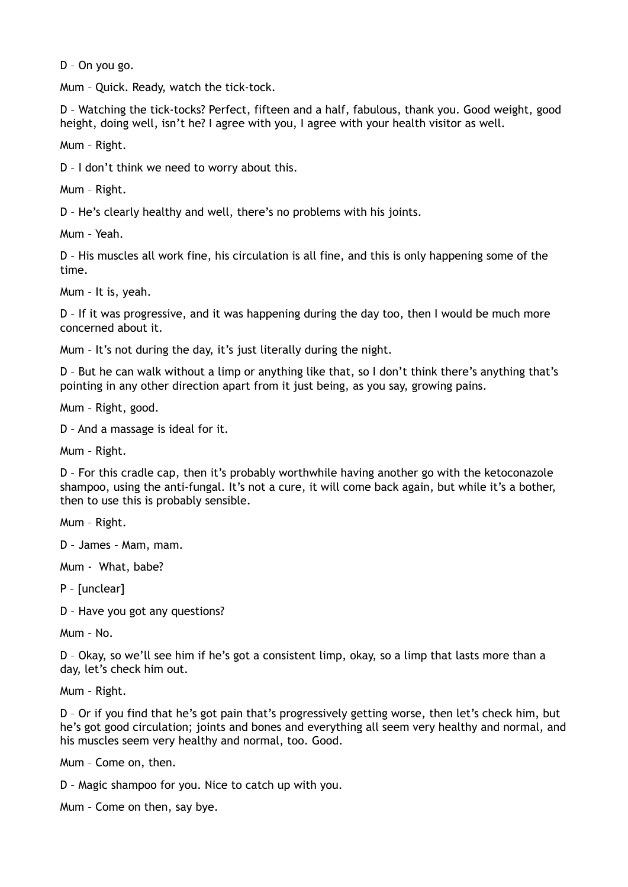D – On you go.

Mum – Quick. Ready, watch the tick-tock.

D – Watching the tick-tocks? Perfect, fifteen and a half, fabulous, thank you. Good weight, good height, doing well, isn't he? I agree with you, I agree with your health visitor as well.

Mum – Right.

D – I don't think we need to worry about this.

Mum – Right.

D – He's clearly healthy and well, there's no problems with his joints.

Mum – Yeah.

D – His muscles all work fine, his circulation is all fine, and this is only happening some of the time.

Mum – It is, yeah.

D – If it was progressive, and it was happening during the day too, then I would be much more concerned about it.

Mum – It's not during the day, it's just literally during the night.

D – But he can walk without a limp or anything like that, so I don't think there's anything that's pointing in any other direction apart from it just being, as you say, growing pains.

Mum – Right, good.

D – And a massage is ideal for it.

Mum – Right.

D – For this cradle cap, then it's probably worthwhile having another go with the ketoconazole shampoo, using the anti-fungal. It's not a cure, it will come back again, but while it's a bother, then to use this is probably sensible.

Mum – Right.

D – James – Mam, mam.

Mum - What, babe?

P – [unclear]

D – Have you got any questions?

Mum – No.

D – Okay, so we'll see him if he's got a consistent limp, okay, so a limp that lasts more than a day, let's check him out.

Mum – Right.

D – Or if you find that he's got pain that's progressively getting worse, then let's check him, but he's got good circulation; joints and bones and everything all seem very healthy and normal, and his muscles seem very healthy and normal, too. Good.

Mum – Come on, then.

D – Magic shampoo for you. Nice to catch up with you.

Mum – Come on then, say bye.